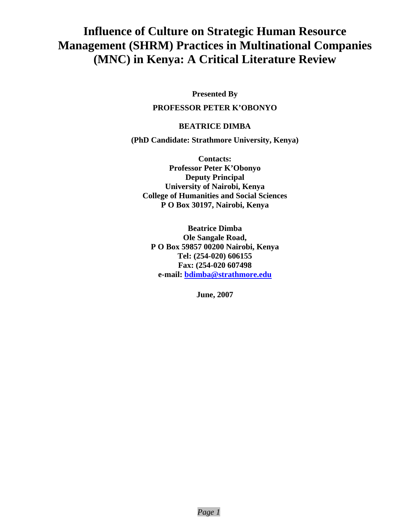# **Influence of Culture on Strategic Human Resource Management (SHRM) Practices in Multinational Companies (MNC) in Kenya: A Critical Literature Review**

**Presented By** 

# **PROFESSOR PETER K'OBONYO**

# **BEATRICE DIMBA**

**(PhD Candidate: Strathmore University, Kenya)**

**Contacts: Professor Peter K'Obonyo Deputy Principal University of Nairobi, Kenya College of Humanities and Social Sciences P O Box 30197, Nairobi, Kenya** 

**Beatrice Dimba Ole Sangale Road, P O Box 59857 00200 Nairobi, Kenya Tel: (254-020) 606155 Fax: (254-020 607498 e-mail: bdimba@strathmore.edu**

**June, 2007**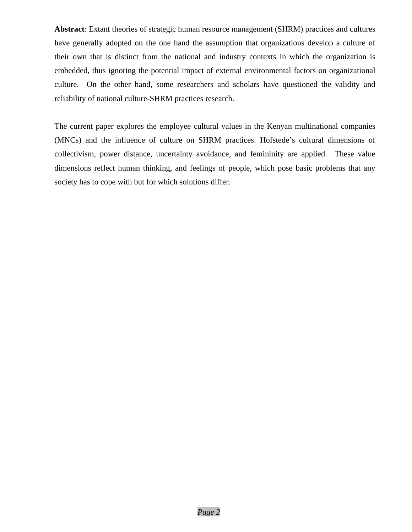**Abstract**: Extant theories of strategic human resource management (SHRM) practices and cultures have generally adopted on the one hand the assumption that organizations develop a culture of their own that is distinct from the national and industry contexts in which the organization is embedded, thus ignoring the potential impact of external environmental factors on organizational culture. On the other hand, some researchers and scholars have questioned the validity and reliability of national culture-SHRM practices research.

The current paper explores the employee cultural values in the Kenyan multinational companies (MNCs) and the influence of culture on SHRM practices. Hofstede's cultural dimensions of collectivism, power distance, uncertainty avoidance, and femininity are applied. These value dimensions reflect human thinking, and feelings of people, which pose basic problems that any society has to cope with but for which solutions differ.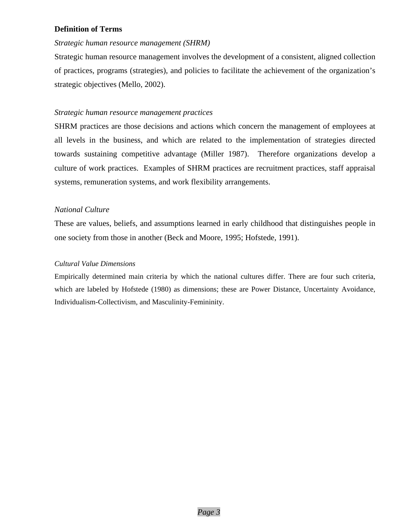# **Definition of Terms**

## *Strategic human resource management (SHRM)*

Strategic human resource management involves the development of a consistent, aligned collection of practices, programs (strategies), and policies to facilitate the achievement of the organization's strategic objectives (Mello, 2002).

# *Strategic human resource management practices*

SHRM practices are those decisions and actions which concern the management of employees at all levels in the business, and which are related to the implementation of strategies directed towards sustaining competitive advantage (Miller 1987). Therefore organizations develop a culture of work practices. Examples of SHRM practices are recruitment practices, staff appraisal systems, remuneration systems, and work flexibility arrangements.

# *National Culture*

These are values, beliefs, and assumptions learned in early childhood that distinguishes people in one society from those in another (Beck and Moore, 1995; Hofstede, 1991).

## *Cultural Value Dimensions*

Empirically determined main criteria by which the national cultures differ. There are four such criteria, which are labeled by Hofstede (1980) as dimensions; these are Power Distance, Uncertainty Avoidance, Individualism-Collectivism, and Masculinity-Femininity.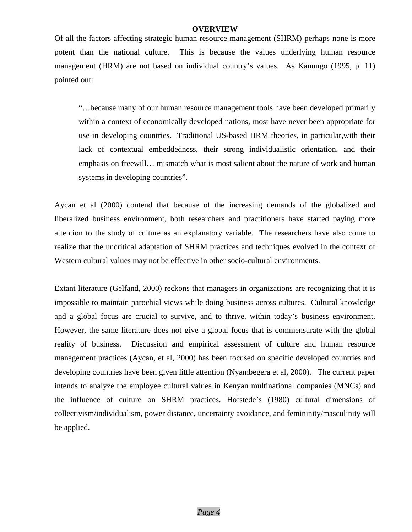#### **OVERVIEW**

Of all the factors affecting strategic human resource management (SHRM) perhaps none is more potent than the national culture. This is because the values underlying human resource management (HRM) are not based on individual country's values. As Kanungo (1995, p. 11) pointed out:

"…because many of our human resource management tools have been developed primarily within a context of economically developed nations, most have never been appropriate for use in developing countries. Traditional US-based HRM theories, in particular,with their lack of contextual embeddedness, their strong individualistic orientation, and their emphasis on freewill… mismatch what is most salient about the nature of work and human systems in developing countries".

Aycan et al (2000) contend that because of the increasing demands of the globalized and liberalized business environment, both researchers and practitioners have started paying more attention to the study of culture as an explanatory variable. The researchers have also come to realize that the uncritical adaptation of SHRM practices and techniques evolved in the context of Western cultural values may not be effective in other socio-cultural environments.

Extant literature (Gelfand, 2000) reckons that managers in organizations are recognizing that it is impossible to maintain parochial views while doing business across cultures. Cultural knowledge and a global focus are crucial to survive, and to thrive, within today's business environment. However, the same literature does not give a global focus that is commensurate with the global reality of business. Discussion and empirical assessment of culture and human resource management practices (Aycan, et al, 2000) has been focused on specific developed countries and developing countries have been given little attention (Nyambegera et al, 2000). The current paper intends to analyze the employee cultural values in Kenyan multinational companies (MNCs) and the influence of culture on SHRM practices. Hofstede's (1980) cultural dimensions of collectivism/individualism, power distance, uncertainty avoidance, and femininity/masculinity will be applied.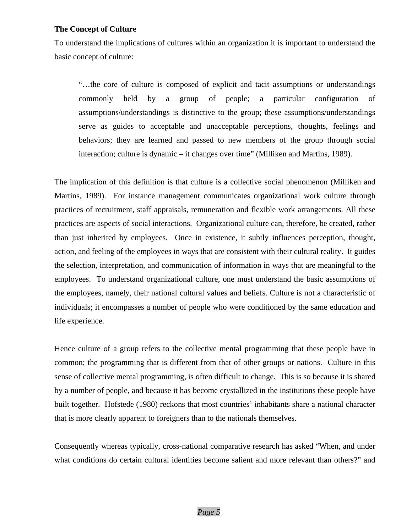## **The Concept of Culture**

To understand the implications of cultures within an organization it is important to understand the basic concept of culture:

"…the core of culture is composed of explicit and tacit assumptions or understandings commonly held by a group of people; a particular configuration of assumptions/understandings is distinctive to the group; these assumptions/understandings serve as guides to acceptable and unacceptable perceptions, thoughts, feelings and behaviors; they are learned and passed to new members of the group through social interaction; culture is dynamic – it changes over time" (Milliken and Martins, 1989).

The implication of this definition is that culture is a collective social phenomenon (Milliken and Martins, 1989). For instance management communicates organizational work culture through practices of recruitment, staff appraisals, remuneration and flexible work arrangements. All these practices are aspects of social interactions. Organizational culture can, therefore, be created, rather than just inherited by employees. Once in existence, it subtly influences perception, thought, action, and feeling of the employees in ways that are consistent with their cultural reality. It guides the selection, interpretation, and communication of information in ways that are meaningful to the employees. To understand organizational culture, one must understand the basic assumptions of the employees, namely, their national cultural values and beliefs. Culture is not a characteristic of individuals; it encompasses a number of people who were conditioned by the same education and life experience.

Hence culture of a group refers to the collective mental programming that these people have in common; the programming that is different from that of other groups or nations. Culture in this sense of collective mental programming, is often difficult to change. This is so because it is shared by a number of people, and because it has become crystallized in the institutions these people have built together. Hofstede (1980) reckons that most countries' inhabitants share a national character that is more clearly apparent to foreigners than to the nationals themselves.

Consequently whereas typically, cross-national comparative research has asked "When, and under what conditions do certain cultural identities become salient and more relevant than others?" and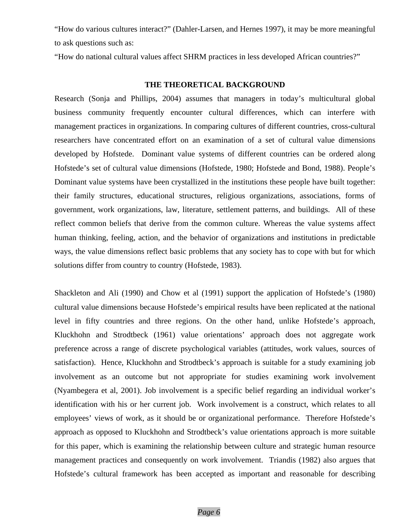"How do various cultures interact?" (Dahler-Larsen, and Hernes 1997), it may be more meaningful to ask questions such as:

"How do national cultural values affect SHRM practices in less developed African countries?"

#### **THE THEORETICAL BACKGROUND**

Research (Sonja and Phillips, 2004) assumes that managers in today's multicultural global business community frequently encounter cultural differences, which can interfere with management practices in organizations. In comparing cultures of different countries, cross-cultural researchers have concentrated effort on an examination of a set of cultural value dimensions developed by Hofstede. Dominant value systems of different countries can be ordered along Hofstede's set of cultural value dimensions (Hofstede, 1980; Hofstede and Bond, 1988). People's Dominant value systems have been crystallized in the institutions these people have built together: their family structures, educational structures, religious organizations, associations, forms of government, work organizations, law, literature, settlement patterns, and buildings. All of these reflect common beliefs that derive from the common culture. Whereas the value systems affect human thinking, feeling, action, and the behavior of organizations and institutions in predictable ways, the value dimensions reflect basic problems that any society has to cope with but for which solutions differ from country to country (Hofstede, 1983).

Shackleton and Ali (1990) and Chow et al (1991) support the application of Hofstede's (1980) cultural value dimensions because Hofstede's empirical results have been replicated at the national level in fifty countries and three regions. On the other hand, unlike Hofstede's approach, Kluckhohn and Strodtbeck (1961) value orientations' approach does not aggregate work preference across a range of discrete psychological variables (attitudes, work values, sources of satisfaction). Hence, Kluckhohn and Strodtbeck's approach is suitable for a study examining job involvement as an outcome but not appropriate for studies examining work involvement (Nyambegera et al, 2001). Job involvement is a specific belief regarding an individual worker's identification with his or her current job. Work involvement is a construct, which relates to all employees' views of work, as it should be or organizational performance. Therefore Hofstede's approach as opposed to Kluckhohn and Strodtbeck's value orientations approach is more suitable for this paper, which is examining the relationship between culture and strategic human resource management practices and consequently on work involvement. Triandis (1982) also argues that Hofstede's cultural framework has been accepted as important and reasonable for describing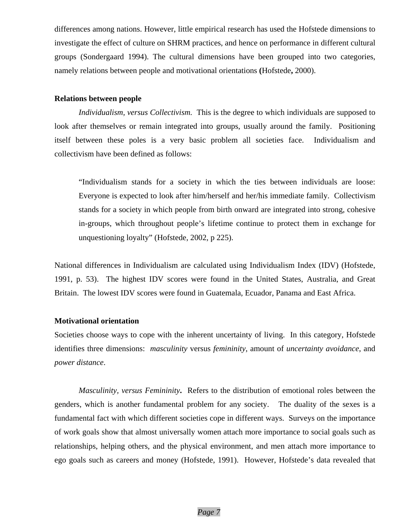differences among nations. However, little empirical research has used the Hofstede dimensions to investigate the effect of culture on SHRM practices, and hence on performance in different cultural groups (Sondergaard 1994). The cultural dimensions have been grouped into two categories, namely relations between people and motivational orientations **(**Hofstede**,** 2000).

## **Relations between people**

*Individualism, versus Collectivism.* This is the degree to which individuals are supposed to look after themselves or remain integrated into groups, usually around the family. Positioning itself between these poles is a very basic problem all societies face. Individualism and collectivism have been defined as follows:

"Individualism stands for a society in which the ties between individuals are loose: Everyone is expected to look after him/herself and her/his immediate family. Collectivism stands for a society in which people from birth onward are integrated into strong, cohesive in-groups, which throughout people's lifetime continue to protect them in exchange for unquestioning loyalty" (Hofstede, 2002, p 225).

National differences in Individualism are calculated using Individualism Index (IDV) (Hofstede, 1991, p. 53). The highest IDV scores were found in the United States, Australia, and Great Britain. The lowest IDV scores were found in Guatemala, Ecuador, Panama and East Africa.

## **Motivational orientation**

Societies choose ways to cope with the inherent uncertainty of living. In this category, Hofstede identifies three dimensions: *masculinity* versus *femininity*, amount of *uncertainty avoidance*, and *power distance*.

*Masculinity, versus Femininity***.** Refers to the distribution of emotional roles between the genders, which is another fundamental problem for any society. The duality of the sexes is a fundamental fact with which different societies cope in different ways. Surveys on the importance of work goals show that almost universally women attach more importance to social goals such as relationships, helping others, and the physical environment, and men attach more importance to ego goals such as careers and money (Hofstede, 1991). However, Hofstede's data revealed that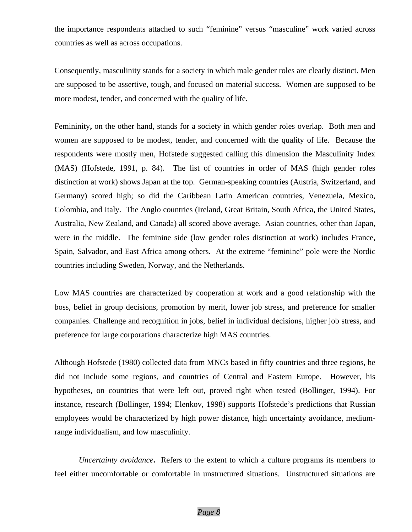the importance respondents attached to such "feminine" versus "masculine" work varied across countries as well as across occupations.

Consequently, masculinity stands for a society in which male gender roles are clearly distinct. Men are supposed to be assertive, tough, and focused on material success. Women are supposed to be more modest, tender, and concerned with the quality of life.

Femininity, on the other hand, stands for a society in which gender roles overlap. Both men and women are supposed to be modest, tender, and concerned with the quality of life. Because the respondents were mostly men, Hofstede suggested calling this dimension the Masculinity Index (MAS) (Hofstede, 1991, p. 84). The list of countries in order of MAS (high gender roles distinction at work) shows Japan at the top. German-speaking countries (Austria, Switzerland, and Germany) scored high; so did the Caribbean Latin American countries, Venezuela, Mexico, Colombia, and Italy. The Anglo countries (Ireland, Great Britain, South Africa, the United States, Australia, New Zealand, and Canada) all scored above average. Asian countries, other than Japan, were in the middle. The feminine side (low gender roles distinction at work) includes France, Spain, Salvador, and East Africa among others. At the extreme "feminine" pole were the Nordic countries including Sweden, Norway, and the Netherlands.

Low MAS countries are characterized by cooperation at work and a good relationship with the boss, belief in group decisions, promotion by merit, lower job stress, and preference for smaller companies. Challenge and recognition in jobs, belief in individual decisions, higher job stress, and preference for large corporations characterize high MAS countries.

Although Hofstede (1980) collected data from MNCs based in fifty countries and three regions, he did not include some regions, and countries of Central and Eastern Europe. However, his hypotheses, on countries that were left out, proved right when tested (Bollinger, 1994). For instance, research (Bollinger, 1994; Elenkov, 1998) supports Hofstede's predictions that Russian employees would be characterized by high power distance, high uncertainty avoidance, mediumrange individualism, and low masculinity.

*Uncertainty avoidance***.** Refers to the extent to which a culture programs its members to feel either uncomfortable or comfortable in unstructured situations. Unstructured situations are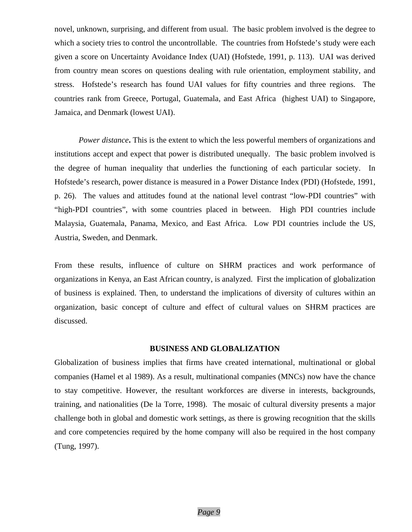novel, unknown, surprising, and different from usual. The basic problem involved is the degree to which a society tries to control the uncontrollable. The countries from Hofstede's study were each given a score on Uncertainty Avoidance Index (UAI) (Hofstede, 1991, p. 113). UAI was derived from country mean scores on questions dealing with rule orientation, employment stability, and stress. Hofstede's research has found UAI values for fifty countries and three regions. The countries rank from Greece, Portugal, Guatemala, and East Africa (highest UAI) to Singapore, Jamaica, and Denmark (lowest UAI).

*Power distance***.** This is the extent to which the less powerful members of organizations and institutions accept and expect that power is distributed unequally. The basic problem involved is the degree of human inequality that underlies the functioning of each particular society. In Hofstede's research, power distance is measured in a Power Distance Index (PDI) (Hofstede, 1991, p. 26). The values and attitudes found at the national level contrast "low-PDI countries" with "high-PDI countries", with some countries placed in between. High PDI countries include Malaysia, Guatemala, Panama, Mexico, and East Africa. Low PDI countries include the US, Austria, Sweden, and Denmark.

From these results, influence of culture on SHRM practices and work performance of organizations in Kenya, an East African country, is analyzed. First the implication of globalization of business is explained. Then, to understand the implications of diversity of cultures within an organization, basic concept of culture and effect of cultural values on SHRM practices are discussed.

#### **BUSINESS AND GLOBALIZATION**

Globalization of business implies that firms have created international, multinational or global companies (Hamel et al 1989). As a result, multinational companies (MNCs) now have the chance to stay competitive. However, the resultant workforces are diverse in interests, backgrounds, training, and nationalities (De la Torre, 1998). The mosaic of cultural diversity presents a major challenge both in global and domestic work settings, as there is growing recognition that the skills and core competencies required by the home company will also be required in the host company (Tung, 1997).

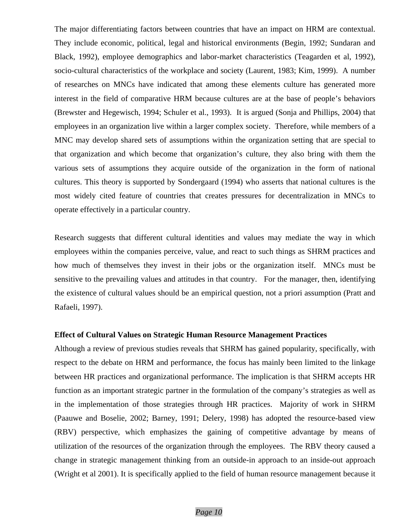The major differentiating factors between countries that have an impact on HRM are contextual. They include economic, political, legal and historical environments (Begin, 1992; Sundaran and Black, 1992), employee demographics and labor-market characteristics (Teagarden et al, 1992), socio-cultural characteristics of the workplace and society (Laurent, 1983; Kim, 1999). A number of researches on MNCs have indicated that among these elements culture has generated more interest in the field of comparative HRM because cultures are at the base of people's behaviors (Brewster and Hegewisch, 1994; Schuler et al., 1993). It is argued (Sonja and Phillips, 2004) that employees in an organization live within a larger complex society. Therefore, while members of a MNC may develop shared sets of assumptions within the organization setting that are special to that organization and which become that organization's culture, they also bring with them the various sets of assumptions they acquire outside of the organization in the form of national cultures. This theory is supported by Sondergaard (1994) who asserts that national cultures is the most widely cited feature of countries that creates pressures for decentralization in MNCs to operate effectively in a particular country.

Research suggests that different cultural identities and values may mediate the way in which employees within the companies perceive, value, and react to such things as SHRM practices and how much of themselves they invest in their jobs or the organization itself. MNCs must be sensitive to the prevailing values and attitudes in that country. For the manager, then, identifying the existence of cultural values should be an empirical question, not a priori assumption (Pratt and Rafaeli, 1997).

#### **Effect of Cultural Values on Strategic Human Resource Management Practices**

Although a review of previous studies reveals that SHRM has gained popularity, specifically, with respect to the debate on HRM and performance, the focus has mainly been limited to the linkage between HR practices and organizational performance. The implication is that SHRM accepts HR function as an important strategic partner in the formulation of the company's strategies as well as in the implementation of those strategies through HR practices. Majority of work in SHRM (Paauwe and Boselie, 2002; Barney, 1991; Delery, 1998) has adopted the resource-based view (RBV) perspective, which emphasizes the gaining of competitive advantage by means of utilization of the resources of the organization through the employees. The RBV theory caused a change in strategic management thinking from an outside-in approach to an inside-out approach (Wright et al 2001). It is specifically applied to the field of human resource management because it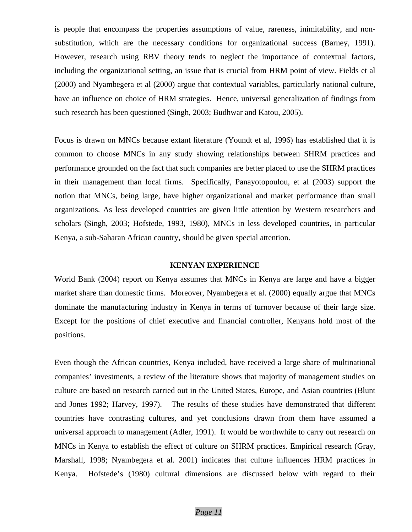is people that encompass the properties assumptions of value, rareness, inimitability, and nonsubstitution, which are the necessary conditions for organizational success (Barney, 1991). However, research using RBV theory tends to neglect the importance of contextual factors, including the organizational setting, an issue that is crucial from HRM point of view. Fields et al (2000) and Nyambegera et al (2000) argue that contextual variables, particularly national culture, have an influence on choice of HRM strategies. Hence, universal generalization of findings from such research has been questioned (Singh, 2003; Budhwar and Katou, 2005).

Focus is drawn on MNCs because extant literature (Youndt et al, 1996) has established that it is common to choose MNCs in any study showing relationships between SHRM practices and performance grounded on the fact that such companies are better placed to use the SHRM practices in their management than local firms. Specifically, Panayotopoulou, et al (2003) support the notion that MNCs, being large, have higher organizational and market performance than small organizations. As less developed countries are given little attention by Western researchers and scholars (Singh, 2003; Hofstede, 1993, 1980), MNCs in less developed countries, in particular Kenya, a sub-Saharan African country, should be given special attention.

#### **KENYAN EXPERIENCE**

World Bank (2004) report on Kenya assumes that MNCs in Kenya are large and have a bigger market share than domestic firms. Moreover, Nyambegera et al. (2000) equally argue that MNCs dominate the manufacturing industry in Kenya in terms of turnover because of their large size. Except for the positions of chief executive and financial controller, Kenyans hold most of the positions.

Even though the African countries, Kenya included, have received a large share of multinational companies' investments, a review of the literature shows that majority of management studies on culture are based on research carried out in the United States, Europe, and Asian countries (Blunt and Jones 1992; Harvey, 1997). The results of these studies have demonstrated that different countries have contrasting cultures, and yet conclusions drawn from them have assumed a universal approach to management (Adler, 1991). It would be worthwhile to carry out research on MNCs in Kenya to establish the effect of culture on SHRM practices. Empirical research (Gray, Marshall, 1998; Nyambegera et al. 2001) indicates that culture influences HRM practices in Kenya. Hofstede's (1980) cultural dimensions are discussed below with regard to their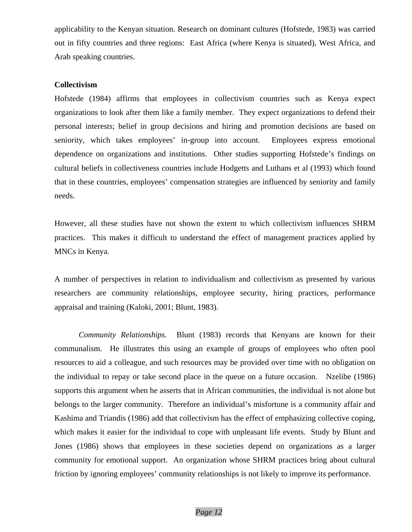applicability to the Kenyan situation. Research on dominant cultures (Hofstede, 1983) was carried out in fifty countries and three regions: East Africa (where Kenya is situated), West Africa, and Arab speaking countries.

## **Collectivism**

Hofstede (1984) affirms that employees in collectivism countries such as Kenya expect organizations to look after them like a family member. They expect organizations to defend their personal interests; belief in group decisions and hiring and promotion decisions are based on seniority, which takes employees' in-group into account. Employees express emotional dependence on organizations and institutions. Other studies supporting Hofstede's findings on cultural beliefs in collectiveness countries include Hodgetts and Luthans et al (1993) which found that in these countries, employees' compensation strategies are influenced by seniority and family needs.

However, all these studies have not shown the extent to which collectivism influences SHRM practices. This makes it difficult to understand the effect of management practices applied by MNCs in Kenya.

A number of perspectives in relation to individualism and collectivism as presented by various researchers are community relationships, employee security, hiring practices, performance appraisal and training (Kaloki, 2001; Blunt, 1983).

 *Community Relationships.* Blunt (1983) records that Kenyans are known for their communalism. He illustrates this using an example of groups of employees who often pool resources to aid a colleague, and such resources may be provided over time with no obligation on the individual to repay or take second place in the queue on a future occasion. Nzelibe (1986) supports this argument when he asserts that in African communities, the individual is not alone but belongs to the larger community. Therefore an individual's misfortune is a community affair and Kashima and Triandis (1986) add that collectivism has the effect of emphasizing collective coping, which makes it easier for the individual to cope with unpleasant life events. Study by Blunt and Jones (1986) shows that employees in these societies depend on organizations as a larger community for emotional support. An organization whose SHRM practices bring about cultural friction by ignoring employees' community relationships is not likely to improve its performance.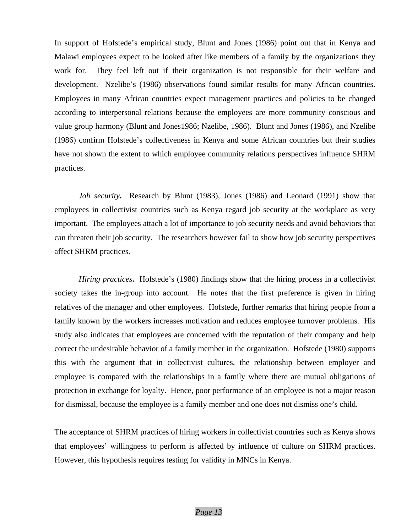In support of Hofstede's empirical study, Blunt and Jones (1986) point out that in Kenya and Malawi employees expect to be looked after like members of a family by the organizations they work for. They feel left out if their organization is not responsible for their welfare and development. Nzelibe's (1986) observations found similar results for many African countries. Employees in many African countries expect management practices and policies to be changed according to interpersonal relations because the employees are more community conscious and value group harmony (Blunt and Jones1986; Nzelibe, 1986). Blunt and Jones (1986), and Nzelibe (1986) confirm Hofstede's collectiveness in Kenya and some African countries but their studies have not shown the extent to which employee community relations perspectives influence SHRM practices.

*Job security***.** Research by Blunt (1983), Jones (1986) and Leonard (1991) show that employees in collectivist countries such as Kenya regard job security at the workplace as very important. The employees attach a lot of importance to job security needs and avoid behaviors that can threaten their job security. The researchers however fail to show how job security perspectives affect SHRM practices.

*Hiring practices***.** Hofstede's (1980) findings show that the hiring process in a collectivist society takes the in-group into account. He notes that the first preference is given in hiring relatives of the manager and other employees. Hofstede, further remarks that hiring people from a family known by the workers increases motivation and reduces employee turnover problems. His study also indicates that employees are concerned with the reputation of their company and help correct the undesirable behavior of a family member in the organization. Hofstede (1980) supports this with the argument that in collectivist cultures, the relationship between employer and employee is compared with the relationships in a family where there are mutual obligations of protection in exchange for loyalty. Hence, poor performance of an employee is not a major reason for dismissal, because the employee is a family member and one does not dismiss one's child.

The acceptance of SHRM practices of hiring workers in collectivist countries such as Kenya shows that employees' willingness to perform is affected by influence of culture on SHRM practices. However, this hypothesis requires testing for validity in MNCs in Kenya.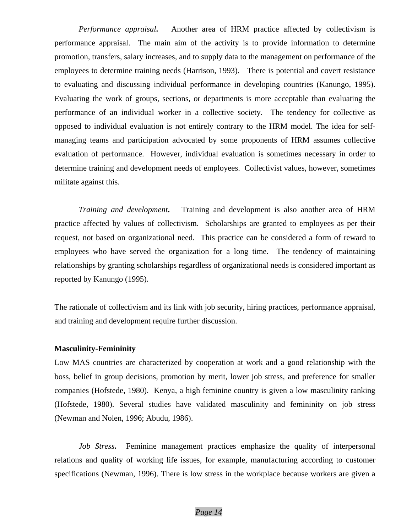*Performance appraisal***.** Another area of HRM practice affected by collectivism is performance appraisal. The main aim of the activity is to provide information to determine promotion, transfers, salary increases, and to supply data to the management on performance of the employees to determine training needs (Harrison, 1993). There is potential and covert resistance to evaluating and discussing individual performance in developing countries (Kanungo, 1995). Evaluating the work of groups, sections, or departments is more acceptable than evaluating the performance of an individual worker in a collective society. The tendency for collective as opposed to individual evaluation is not entirely contrary to the HRM model. The idea for selfmanaging teams and participation advocated by some proponents of HRM assumes collective evaluation of performance. However, individual evaluation is sometimes necessary in order to determine training and development needs of employees. Collectivist values, however, sometimes militate against this.

*Training and development***.** Training and development is also another area of HRM practice affected by values of collectivism. Scholarships are granted to employees as per their request, not based on organizational need. This practice can be considered a form of reward to employees who have served the organization for a long time. The tendency of maintaining relationships by granting scholarships regardless of organizational needs is considered important as reported by Kanungo (1995).

The rationale of collectivism and its link with job security, hiring practices, performance appraisal, and training and development require further discussion.

# **Masculinity-Femininity**

Low MAS countries are characterized by cooperation at work and a good relationship with the boss, belief in group decisions, promotion by merit, lower job stress, and preference for smaller companies (Hofstede, 1980). Kenya, a high feminine country is given a low masculinity ranking (Hofstede, 1980). Several studies have validated masculinity and femininity on job stress (Newman and Nolen, 1996; Abudu, 1986).

*Job Stress***.** Feminine management practices emphasize the quality of interpersonal relations and quality of working life issues, for example, manufacturing according to customer specifications (Newman, 1996). There is low stress in the workplace because workers are given a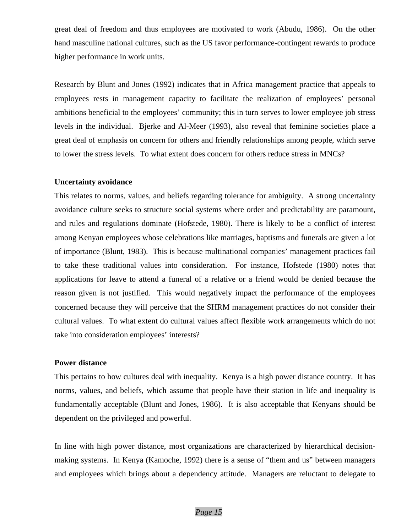great deal of freedom and thus employees are motivated to work (Abudu, 1986). On the other hand masculine national cultures, such as the US favor performance-contingent rewards to produce higher performance in work units.

Research by Blunt and Jones (1992) indicates that in Africa management practice that appeals to employees rests in management capacity to facilitate the realization of employees' personal ambitions beneficial to the employees' community; this in turn serves to lower employee job stress levels in the individual. Bjerke and Al-Meer (1993), also reveal that feminine societies place a great deal of emphasis on concern for others and friendly relationships among people, which serve to lower the stress levels. To what extent does concern for others reduce stress in MNCs?

## **Uncertainty avoidance**

This relates to norms, values, and beliefs regarding tolerance for ambiguity. A strong uncertainty avoidance culture seeks to structure social systems where order and predictability are paramount, and rules and regulations dominate (Hofstede, 1980). There is likely to be a conflict of interest among Kenyan employees whose celebrations like marriages, baptisms and funerals are given a lot of importance (Blunt, 1983). This is because multinational companies' management practices fail to take these traditional values into consideration. For instance, Hofstede (1980) notes that applications for leave to attend a funeral of a relative or a friend would be denied because the reason given is not justified. This would negatively impact the performance of the employees concerned because they will perceive that the SHRM management practices do not consider their cultural values. To what extent do cultural values affect flexible work arrangements which do not take into consideration employees' interests?

# **Power distance**

This pertains to how cultures deal with inequality. Kenya is a high power distance country. It has norms, values, and beliefs, which assume that people have their station in life and inequality is fundamentally acceptable (Blunt and Jones, 1986). It is also acceptable that Kenyans should be dependent on the privileged and powerful.

In line with high power distance, most organizations are characterized by hierarchical decisionmaking systems. In Kenya (Kamoche, 1992) there is a sense of "them and us" between managers and employees which brings about a dependency attitude. Managers are reluctant to delegate to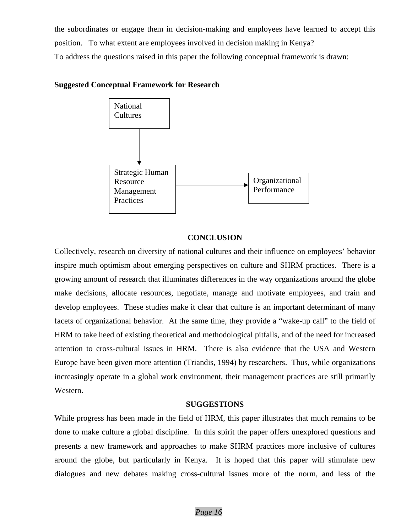the subordinates or engage them in decision-making and employees have learned to accept this position. To what extent are employees involved in decision making in Kenya? To address the questions raised in this paper the following conceptual framework is drawn:

# **Suggested Conceptual Framework for Research**



# **CONCLUSION**

Collectively, research on diversity of national cultures and their influence on employees' behavior inspire much optimism about emerging perspectives on culture and SHRM practices. There is a growing amount of research that illuminates differences in the way organizations around the globe make decisions, allocate resources, negotiate, manage and motivate employees, and train and develop employees. These studies make it clear that culture is an important determinant of many facets of organizational behavior. At the same time, they provide a "wake-up call" to the field of HRM to take heed of existing theoretical and methodological pitfalls, and of the need for increased attention to cross-cultural issues in HRM. There is also evidence that the USA and Western Europe have been given more attention (Triandis, 1994) by researchers. Thus, while organizations increasingly operate in a global work environment, their management practices are still primarily Western.

## **SUGGESTIONS**

While progress has been made in the field of HRM, this paper illustrates that much remains to be done to make culture a global discipline. In this spirit the paper offers unexplored questions and presents a new framework and approaches to make SHRM practices more inclusive of cultures around the globe, but particularly in Kenya. It is hoped that this paper will stimulate new dialogues and new debates making cross-cultural issues more of the norm, and less of the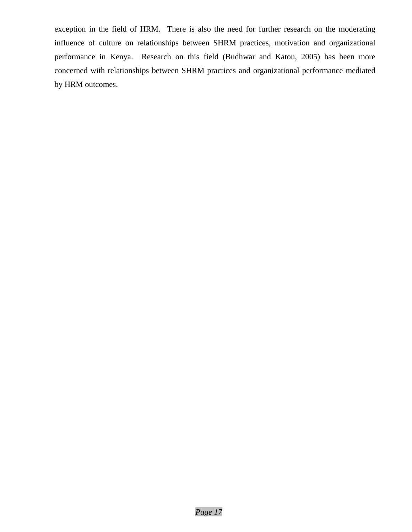exception in the field of HRM. There is also the need for further research on the moderating influence of culture on relationships between SHRM practices, motivation and organizational performance in Kenya. Research on this field (Budhwar and Katou, 2005) has been more concerned with relationships between SHRM practices and organizational performance mediated by HRM outcomes.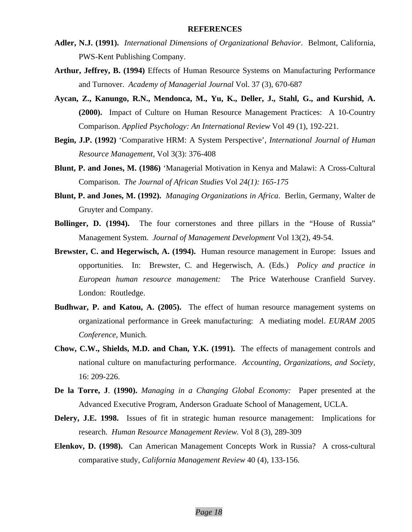- **Adler, N.J. (1991).** *International Dimensions of Organizational Behavior*. Belmont, California, PWS-Kent Publishing Company.
- **Arthur, Jeffrey, B. (1994)** Effects of Human Resource Systems on Manufacturing Performance and Turnover. *Academy of Managerial Journal* Vol. 37 (3), 670-687
- **Aycan, Z., Kanungo, R.N., Mendonca, M., Yu, K., Deller, J., Stahl, G., and Kurshid, A. (2000).** Impact of Culture on Human Resource Management Practices: A 10-Country Comparison. *Applied Psychology: An International Review* Vol 49 (1), 192-221.
- **Begin, J.P. (1992)** 'Comparative HRM: A System Perspective', *International Journal of Human Resource Management,* Vol 3(3): 376-408
- **Blunt, P. and Jones, M. (1986)** 'Managerial Motivation in Kenya and Malawi: A Cross-Cultural Comparison. *The Journal of African Studies* Vol *24(1): 165-175*
- **Blunt, P. and Jones, M. (1992).** *Managing Organizations in Africa*. Berlin, Germany, Walter de Gruyter and Company.
- **Bollinger, D. (1994).** The four cornerstones and three pillars in the "House of Russia" Management System. *Journal of Management Development* Vol 13(2), 49-54.
- **Brewster, C. and Hegerwisch, A. (1994).** Human resource management in Europe:Issues and opportunities. In: Brewster, C. and Hegerwisch, A. (Eds.) *Policy and practice in European human resource management:* The Price Waterhouse Cranfield Survey. London: Routledge.
- **Budhwar, P. and Katou, A. (2005).** The effect of human resource management systems on organizational performance in Greek manufacturing: A mediating model. *EURAM 2005 Conference,* Munich*.*
- **Chow, C.W., Shields, M.D. and Chan, Y.K. (1991).** The effects of management controls and national culture on manufacturing performance. *Accounting, Organizations, and Society,*  16: 209-226.
- **De la Torre, J**. **(1990).** *Managing in a Changing Global Economy:* Paper presented at the Advanced Executive Program, Anderson Graduate School of Management, UCLA.
- **Delery, J.E. 1998.** Issues of fit in strategic human resource management: Implications for research. *Human Resource Management Review.* Vol 8 (3), 289-309
- **Elenkov, D. (1998).** Can American Management Concepts Work in Russia? A cross-cultural comparative study, *California Management Review* 40 (4), 133-156.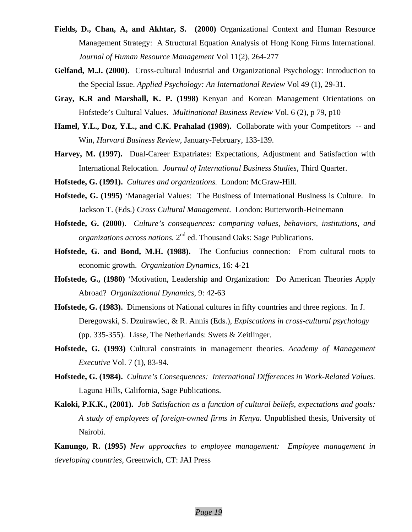- **Fields, D., Chan, A, and Akhtar, S. (2000)** Organizational Context and Human Resource Management Strategy: A Structural Equation Analysis of Hong Kong Firms International*. Journal of Human Resource Management* Vol 11(2), 264-277
- **Gelfand, M.J. (2000)**. Cross-cultural Industrial and Organizational Psychology: Introduction to the Special Issue. *Applied Psychology: An International Review* Vol 49 (1), 29-31.
- **Gray, K.R and Marshall, K. P. (1998)** Kenyan and Korean Management Orientations on Hofstede's Cultural Values. *Multinational Business Review* Vol. 6 (2), p 79, p10
- **Hamel, Y.L., Doz, Y.L., and C.K. Prahalad (1989).** Collaborate with your Competitors -- and Win, *Harvard Business Review,* January-February, 133-139.
- **Harvey, M. (1997).** Dual-Career Expatriates: Expectations, Adjustment and Satisfaction with International Relocation. *Journal of International Business Studies,* Third Quarter.
- **Hofstede, G. (1991).** *Cultures and organizations.* London: McGraw-Hill.
- **Hofstede, G. (1995)** 'Managerial Values: The Business of International Business is Culture. In Jackson T. (Eds.) *Cross Cultural Management*. London: Butterworth-Heinemann
- **Hofstede, G. (2000**). *Culture's consequences: comparing values, behaviors, institutions, and organizations across nations.* 2<sup>nd</sup> ed. Thousand Oaks: Sage Publications.
- **Hofstede, G. and Bond, M.H. (1988).** The Confucius connection: From cultural roots to economic growth. *Organization Dynamics,* 16: 4-21
- **Hofstede, G., (1980)** 'Motivation, Leadership and Organization: Do American Theories Apply Abroad? *Organizational Dynamics,* 9: 42-63
- **Hofstede, G. (1983).** Dimensions of National cultures in fifty countries and three regions. In J. Deregowski, S. Dzuirawiec, & R. Annis (Eds.), *Expiscations in cross-cultural psychology* (pp. 335-355). Lisse, The Netherlands: Swets & Zeitlinger.
- **Hofstede, G. (1993)** Cultural constraints in management theories. *Academy of Management Executive* Vol. 7 (1), 83-94.
- **Hofstede, G. (1984).** *Culture's Consequences: International Differences in Work-Related Values.*  Laguna Hills, California, Sage Publications.
- **Kaloki, P.K.K., (2001).** *Job Satisfaction as a function of cultural beliefs, expectations and goals: A study of employees of foreign-owned firms in Kenya.* Unpublished thesis, University of Nairobi.

**Kanungo, R. (1995)** *New approaches to employee management: Employee management in developing countries,* Greenwich, CT: JAI Press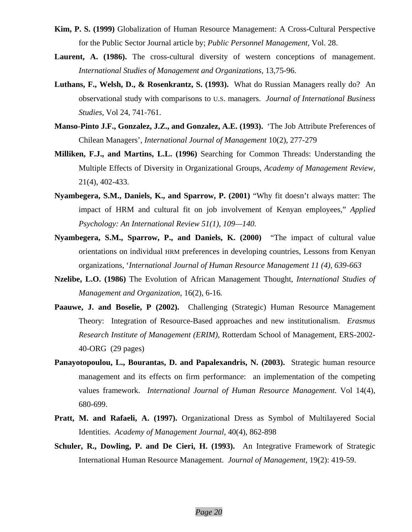- **Kim, P. S. (1999)** Globalization of Human Resource Management: A Cross-Cultural Perspective for the Public Sector Journal article by; *Public Personnel Management,* Vol. 28.
- Laurent, A. (1986). The cross-cultural diversity of western conceptions of management. *International Studies of Management and Organizations,* 13,75-96.
- **Luthans, F., Welsh, D., & Rosenkrantz, S. (1993).** What do Russian Managers really do? An observational study with comparisons to U.S. managers. *Journal of International Business Studies,* Vol 24, 741-761.
- **Manso-Pinto J.F., Gonzalez, J.Z., and Gonzalez, A.E. (1993).** 'The Job Attribute Preferences of Chilean Managers', *International Journal of Management* 10(2), 277-279
- **Milliken, F.J., and Martins, L.L. (1996)** Searching for Common Threads: Understanding the Multiple Effects of Diversity in Organizational Groups, *Academy of Management Review,*  21(4), 402-433.
- **Nyambegera, S.M., Daniels, K., and Sparrow, P. (2001)** "Why fit doesn't always matter: The impact of HRM and cultural fit on job involvement of Kenyan employees," *Applied Psychology: An International Review 51(1), 109—140.*
- **Nyambegera, S.M., Sparrow, P., and Daniels, K. (2000)** "The impact of cultural value orientations on individual HRM preferences in developing countries, Lessons from Kenyan organizations, '*International Journal of Human Resource Management 11 (4), 639-663*
- **Nzelibe, L.O. (1986)** The Evolution of African Management Thought, *International Studies of Management and Organization,* 16(2), 6-16*.*
- Paauwe, J. and Boselie, P (2002). Challenging (Strategic) Human Resource Management Theory: Integration of Resource-Based approaches and new institutionalism. *Erasmus Research Institute of Management (ERIM),* Rotterdam School of Management, ERS-2002- 40-ORG (29 pages)
- **Panayotopoulou, L., Bourantas, D. and Papalexandris, N. (2003).** Strategic human resource management and its effects on firm performance: an implementation of the competing values framework. *International Journal of Human Resource Management.* Vol 14(4), 680-699.
- **Pratt, M. and Rafaeli, A. (1997).** Organizational Dress as Symbol of Multilayered Social Identities. *Academy of Management Journal,* 40(4), 862-898
- **Schuler, R., Dowling, P. and De Cieri, H. (1993).** An Integrative Framework of Strategic International Human Resource Management. *Journal of Management,* 19(2): 419-59.